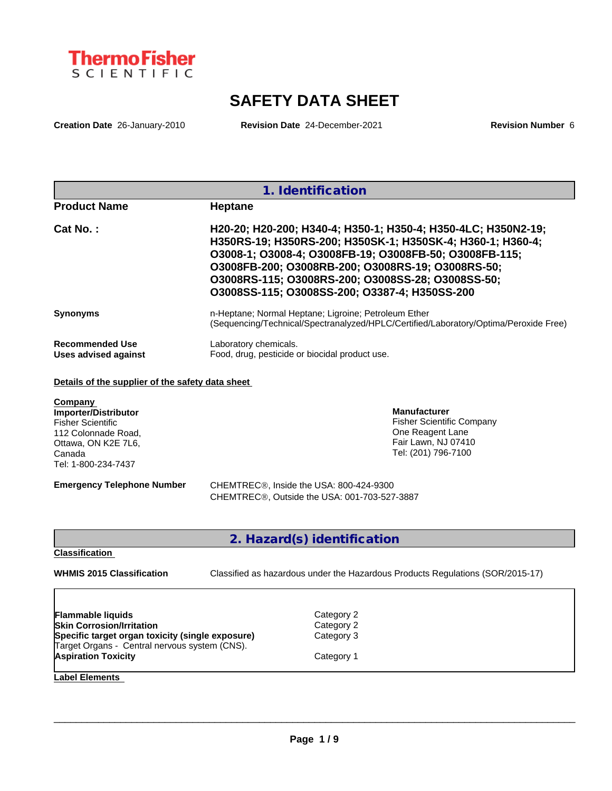

# **SAFETY DATA SHEET**

**Creation Date** 26-January-2010 **Revision Date** 24-December-2021 **Revision Number** 6

|                        | 1. Identification                                                                    |
|------------------------|--------------------------------------------------------------------------------------|
| <b>Product Name</b>    | <b>Heptane</b>                                                                       |
| Cat No.:               | H20-20; H20-200; H340-4; H350-1; H350-4; H350-4LC; H350N2-19;                        |
|                        | H350RS-19; H350RS-200; H350SK-1; H350SK-4; H360-1; H360-4;                           |
|                        | 03008-1; 03008-4; 03008FB-19; 03008FB-50; 03008FB-115;                               |
|                        | 03008FB-200; 03008RB-200; 03008RS-19; 03008RS-50;                                    |
|                        | 03008RS-115; 03008RS-200; 03008SS-28; 03008SS-50;                                    |
|                        | 03008SS-115; 03008SS-200; 03387-4; H350SS-200                                        |
| <b>Synonyms</b>        | n-Heptane; Normal Heptane; Ligroine; Petroleum Ether                                 |
|                        | (Sequencing/Technical/Spectranalyzed/HPLC/Certified/Laboratory/Optima/Peroxide Free) |
| <b>Recommended Use</b> | Laboratory chemicals.                                                                |
| Uses advised against   | Food, drug, pesticide or biocidal product use.                                       |

### **Details of the supplier of the safety data sheet**

| Company<br>Importer/Distributor<br><b>Fisher Scientific</b><br>112 Colonnade Road,<br>Ottawa, ON K2E 7L6,<br>Canada<br>Tel: 1-800-234-7437 | <b>Manufacturer</b><br><b>Fisher Scientific Company</b><br>One Reagent Lane<br>Fair Lawn, NJ 07410<br>Tel: (201) 796-7100 |
|--------------------------------------------------------------------------------------------------------------------------------------------|---------------------------------------------------------------------------------------------------------------------------|
| <b>Emergency Telephone Number</b>                                                                                                          | CHEMTREC <sup>®</sup> , Inside the USA: 800-424-9300<br>CHEMTREC <sup>®</sup> , Outside the USA: 001-703-527-3887         |

# **2. Hazard(s) identification**

#### **Classification**

**WHMIS 2015 Classification** Classified as hazardous under the Hazardous Products Regulations (SOR/2015-17)

 $\_$  ,  $\_$  ,  $\_$  ,  $\_$  ,  $\_$  ,  $\_$  ,  $\_$  ,  $\_$  ,  $\_$  ,  $\_$  ,  $\_$  ,  $\_$  ,  $\_$  ,  $\_$  ,  $\_$  ,  $\_$  ,  $\_$  ,  $\_$  ,  $\_$  ,  $\_$  ,  $\_$  ,  $\_$  ,  $\_$  ,  $\_$  ,  $\_$  ,  $\_$  ,  $\_$  ,  $\_$  ,  $\_$  ,  $\_$  ,  $\_$  ,  $\_$  ,  $\_$  ,  $\_$  ,  $\_$  ,  $\_$  ,  $\_$  ,

| Flammable liquids                                                           | Category 2 |  |
|-----------------------------------------------------------------------------|------------|--|
| Skin Corrosion/Irritation                                                   | Category 2 |  |
| Specific target organ toxicity (single exposure)                            | Category 3 |  |
|                                                                             | Category 1 |  |
| Target Organs - Central nervous system (CNS).<br><b>Aspiration Toxicity</b> |            |  |

**Label Elements**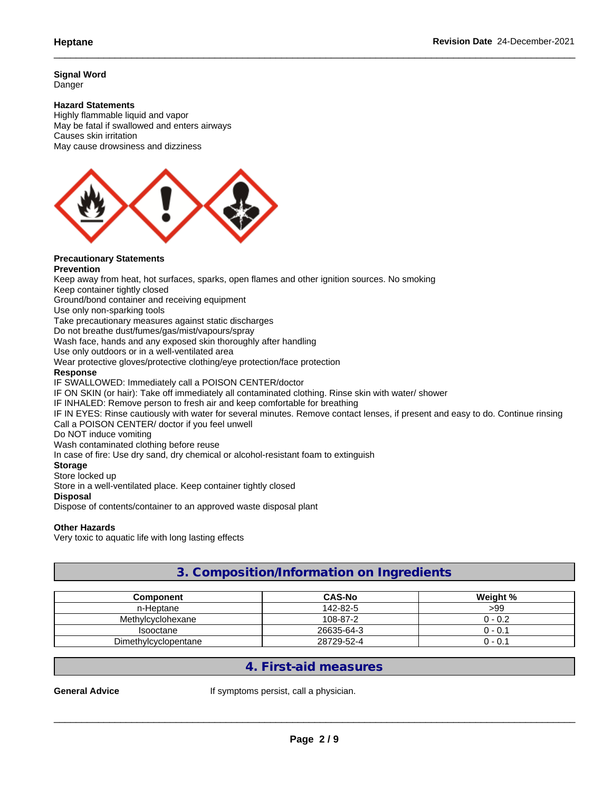**Signal Word** Danger

#### **Hazard Statements**

Highly flammable liquid and vapor May be fatal if swallowed and enters airways Causes skin irritation May cause drowsiness and dizziness



# **Precautionary Statements**

**Prevention** Keep away from heat, hot surfaces, sparks, open flames and other ignition sources. No smoking Keep container tightly closed Ground/bond container and receiving equipment Use only non-sparking tools Take precautionary measures against static discharges Do not breathe dust/fumes/gas/mist/vapours/spray Wash face, hands and any exposed skin thoroughly after handling Use only outdoors or in a well-ventilated area Wear protective gloves/protective clothing/eye protection/face protection **Response** IF SWALLOWED: Immediately call a POISON CENTER/doctor IF ON SKIN (or hair): Take off immediately all contaminated clothing. Rinse skin with water/ shower IF INHALED: Remove person to fresh air and keep comfortable for breathing IF IN EYES: Rinse cautiously with water for several minutes. Remove contact lenses, if present and easy to do. Continue rinsing Call a POISON CENTER/ doctor if you feel unwell Do NOT induce vomiting Wash contaminated clothing before reuse In case of fire: Use dry sand, dry chemical or alcohol-resistant foam to extinguish

#### **Storage**

Store locked up

Store in a well-ventilated place. Keep container tightly closed

### **Disposal**

Dispose of contents/container to an approved waste disposal plant

#### **Other Hazards**

Very toxic to aquatic life with long lasting effects

# **3. Composition/Information on Ingredients**

| Component            | <b>CAS-No</b> | Weight % |
|----------------------|---------------|----------|
| n-Heptane            | 142-82-5      | >99      |
| Methylcyclohexane    | 108-87-2      | 0 - 0.2  |
| <b>Isooctane</b>     | 26635-64-3    | 0.1 -    |
| Dimethylcyclopentane | 28729-52-4    | J - 0.1  |

# **4. First-aid measures**

General Advice **If** symptoms persist, call a physician.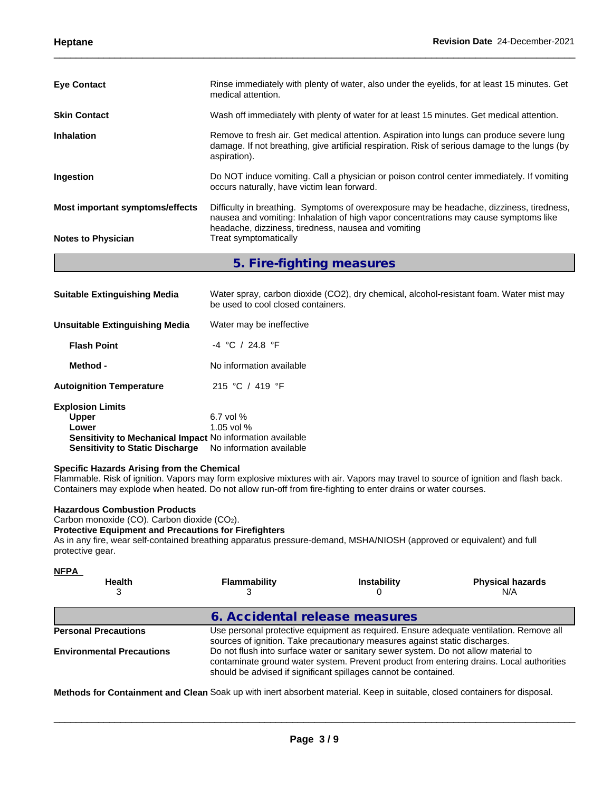| <b>Eye Contact</b>              | Rinse immediately with plenty of water, also under the eyelids, for at least 15 minutes. Get<br>medical attention.                                                                                                                      |
|---------------------------------|-----------------------------------------------------------------------------------------------------------------------------------------------------------------------------------------------------------------------------------------|
| <b>Skin Contact</b>             | Wash off immediately with plenty of water for at least 15 minutes. Get medical attention.                                                                                                                                               |
| <b>Inhalation</b>               | Remove to fresh air. Get medical attention. Aspiration into lungs can produce severe lung<br>damage. If not breathing, give artificial respiration. Risk of serious damage to the lungs (by<br>aspiration).                             |
| Ingestion                       | Do NOT induce vomiting. Call a physician or poison control center immediately. If vomiting<br>occurs naturally, have victim lean forward.                                                                                               |
| Most important symptoms/effects | Difficulty in breathing. Symptoms of overexposure may be headache, dizziness, tiredness,<br>nausea and vomiting: Inhalation of high vapor concentrations may cause symptoms like<br>headache, dizziness, tiredness, nausea and vomiting |
| <b>Notes to Physician</b>       | Treat symptomatically                                                                                                                                                                                                                   |
|                                 | 5. Fire-fighting measures                                                                                                                                                                                                               |

| <b>Suitable Extinguishing Media</b>                              | Water spray, carbon dioxide (CO2), dry chemical, alcohol-resistant foam. Water mist may<br>be used to cool closed containers. |
|------------------------------------------------------------------|-------------------------------------------------------------------------------------------------------------------------------|
| <b>Unsuitable Extinguishing Media</b>                            | Water may be ineffective                                                                                                      |
| <b>Flash Point</b>                                               | $-4$ °C / 24.8 °F                                                                                                             |
| Method -                                                         | No information available                                                                                                      |
| <b>Autoignition Temperature</b>                                  | 215 °C / 419 °F                                                                                                               |
| <b>Explosion Limits</b>                                          |                                                                                                                               |
| <b>Upper</b>                                                     | $6.7$ vol $%$                                                                                                                 |
| Lower                                                            | 1.05 vol $%$                                                                                                                  |
| <b>Sensitivity to Mechanical Impact No information available</b> |                                                                                                                               |
| <b>Sensitivity to Static Discharge</b>                           | No information available                                                                                                      |

#### **Specific Hazards Arising from the Chemical**

Flammable. Risk of ignition. Vapors may form explosive mixtures with air. Vapors may travel to source of ignition and flash back. Containers may explode when heated. Do not allow run-off from fire-fighting to enter drains or water courses.

#### **Hazardous Combustion Products**

Carbon monoxide (CO). Carbon dioxide (CO2).

#### **Protective Equipment and Precautions for Firefighters**

As in any fire, wear self-contained breathing apparatus pressure-demand, MSHA/NIOSH (approved or equivalent) and full protective gear.

| <b>NFPA</b><br><b>Health</b>     | <b>Flammability</b>                                                                                                                                                                                                                               | <b>Instability</b> | <b>Physical hazards</b><br>N/A |  |  |  |
|----------------------------------|---------------------------------------------------------------------------------------------------------------------------------------------------------------------------------------------------------------------------------------------------|--------------------|--------------------------------|--|--|--|
|                                  | 6. Accidental release measures                                                                                                                                                                                                                    |                    |                                |  |  |  |
| <b>Personal Precautions</b>      | Use personal protective equipment as required. Ensure adequate ventilation. Remove all<br>sources of ignition. Take precautionary measures against static discharges.                                                                             |                    |                                |  |  |  |
| <b>Environmental Precautions</b> | Do not flush into surface water or sanitary sewer system. Do not allow material to<br>contaminate ground water system. Prevent product from entering drains. Local authorities<br>should be advised if significant spillages cannot be contained. |                    |                                |  |  |  |

**Methods for Containment and Clean** Soak up with inert absorbent material. Keep in suitable, closed containers for disposal.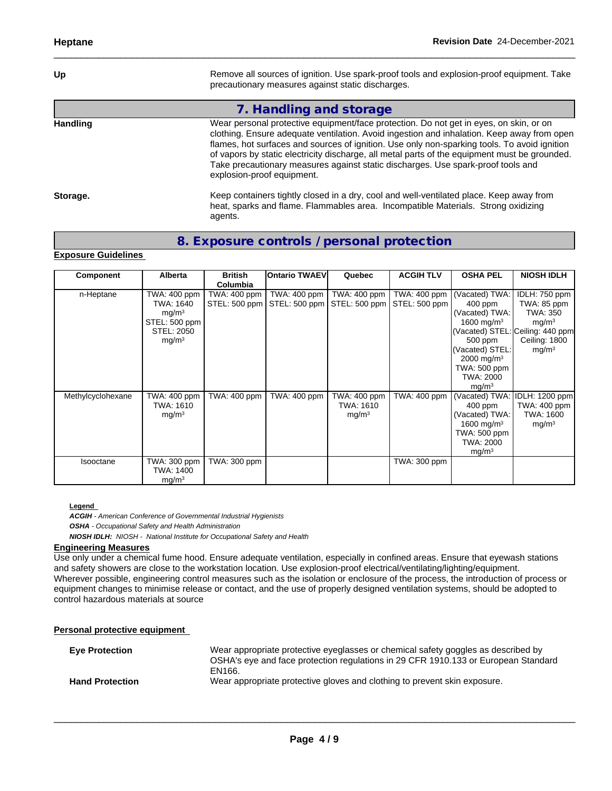Up **Up** Remove all sources of ignition. Use spark-proof tools and explosion-proof equipment. Take precautionary measures against static discharges.

heat, sparks and flame. Flammables area. Incompatible Materials. Strong oxidizing

# **7. Handling and storage**

**Handling** Wear personal protective equipment/face protection. Do not get in eyes, on skin, or on clothing. Ensure adequate ventilation. Avoid ingestion and inhalation. Keep away from open flames, hot surfaces and sources of ignition. Use only non-sparking tools. To avoid ignition of vapors by static electricity discharge, all metal parts of the equipment must be grounded. Take precautionary measures against static discharges. Use spark-proof tools and explosion-proof equipment. **Storage.** Keep containers tightly closed in a dry, cool and well-ventilated place. Keep away from

# **8. Exposure controls / personal protection**

agents.

#### **Exposure Guidelines**

| Component         | Alberta                                                                                            | <b>British</b><br>Columbia    | <b>Ontario TWAEVI</b> | Quebec                                                          | <b>ACGIH TLV</b> | <b>OSHA PEL</b>                                                                                                                                                                   | <b>NIOSH IDLH</b>                                                                                                                       |
|-------------------|----------------------------------------------------------------------------------------------------|-------------------------------|-----------------------|-----------------------------------------------------------------|------------------|-----------------------------------------------------------------------------------------------------------------------------------------------------------------------------------|-----------------------------------------------------------------------------------------------------------------------------------------|
| n-Heptane         | TWA: 400 ppm<br>TWA: 1640<br>mg/m <sup>3</sup><br>STEL: 500 ppm<br>STEL: 2050<br>mg/m <sup>3</sup> | TWA: 400 ppm<br>STEL: 500 ppm | TWA: 400 ppm          | TWA: 400 ppm  <br>STEL: 500 ppm   STEL: 500 ppm   STEL: 500 ppm | TWA: 400 ppm     | (Vacated) TWA:<br>$400$ ppm<br>(Vacated) TWA:<br>1600 mg/m <sup>3</sup><br>500 ppm<br>(Vacated) STEL:<br>2000 mg/m <sup>3</sup><br>TWA: 500 ppm<br>TWA: 2000<br>mg/m <sup>3</sup> | IDLH: 750 ppm<br>TWA: 85 ppm<br>TWA: 350<br>mg/m <sup>3</sup><br>(Vacated) STEL: Ceiling: 440 ppm<br>Ceiling: 1800<br>mg/m <sup>3</sup> |
| Methylcyclohexane | TWA: 400 ppm<br>TWA: 1610<br>mg/m <sup>3</sup>                                                     | TWA: 400 ppm                  | TWA: 400 ppm          | TWA: 400 ppm<br>TWA: 1610<br>mg/m <sup>3</sup>                  |                  | TWA: 400 ppm   (Vacated) TWA:  <br>$400$ ppm<br>(Vacated) TWA:<br>1600 mg/m <sup>3</sup><br><b>TWA: 500 ppm</b><br>TWA: 2000<br>mg/m <sup>3</sup>                                 | IDLH: 1200 ppm<br>TWA: 400 ppm<br>TWA: 1600<br>mg/m <sup>3</sup>                                                                        |
| Isooctane         | TWA: 300 ppm<br>TWA: 1400<br>mg/m <sup>3</sup>                                                     | TWA: 300 ppm                  |                       |                                                                 | TWA: 300 ppm     |                                                                                                                                                                                   |                                                                                                                                         |

#### **Legend**

*ACGIH - American Conference of Governmental Industrial Hygienists OSHA - Occupational Safety and Health Administration*

*NIOSH IDLH: NIOSH - National Institute for Occupational Safety and Health*

### **Engineering Measures**

Use only under a chemical fume hood. Ensure adequate ventilation, especially in confined areas. Ensure that eyewash stations and safety showers are close to the workstation location. Use explosion-proof electrical/ventilating/lighting/equipment. Wherever possible, engineering control measures such as the isolation or enclosure of the process, the introduction of process or equipment changes to minimise release or contact, and the use of properly designed ventilation systems, should be adopted to control hazardous materials at source

#### **Personal protective equipment**

| <b>Eye Protection</b>  | Wear appropriate protective eyeglasses or chemical safety goggles as described by<br>OSHA's eye and face protection regulations in 29 CFR 1910.133 or European Standard<br>EN166. |
|------------------------|-----------------------------------------------------------------------------------------------------------------------------------------------------------------------------------|
| <b>Hand Protection</b> | Wear appropriate protective gloves and clothing to prevent skin exposure.                                                                                                         |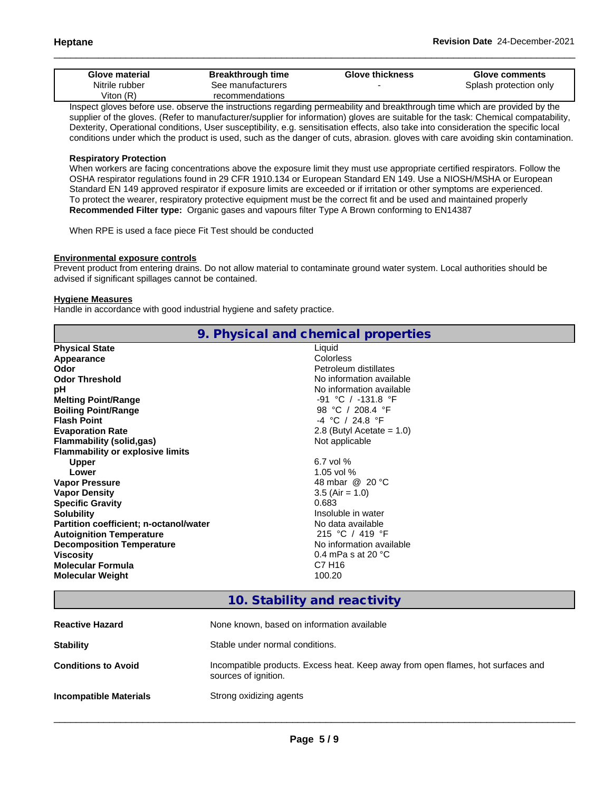| Glove material | <b>Breakthrough time</b> | <b>Glove thickness</b> | <b>Glove comments</b>  |
|----------------|--------------------------|------------------------|------------------------|
| Nitrile rubber | See manufacturers        |                        | Splash protection only |
| √iton (R)      | recommendations          |                        |                        |

Inspect gloves before use. observe the instructions regarding permeability and breakthrough time which are provided by the supplier of the gloves. (Refer to manufacturer/supplier for information) gloves are suitable for the task: Chemical compatability, Dexterity, Operational conditions, User susceptibility, e.g. sensitisation effects, also take into consideration the specific local conditions under which the product is used, such as the danger of cuts, abrasion. gloves with care avoiding skin contamination.

#### **Respiratory Protection**

When workers are facing concentrations above the exposure limit they must use appropriate certified respirators. Follow the OSHA respirator regulations found in 29 CFR 1910.134 or European Standard EN 149. Use a NIOSH/MSHA or European Standard EN 149 approved respirator if exposure limits are exceeded or if irritation or other symptoms are experienced. To protect the wearer, respiratory protective equipment must be the correct fit and be used and maintained properly **Recommended Filter type:** Organic gases and vapours filter Type A Brown conforming to EN14387

When RPE is used a face piece Fit Test should be conducted

#### **Environmental exposure controls**

Prevent product from entering drains. Do not allow material to contaminate ground water system. Local authorities should be advised if significant spillages cannot be contained.

#### **Hygiene Measures**

Handle in accordance with good industrial hygiene and safety practice.

|                                               | 9. Physical and chemical properties |
|-----------------------------------------------|-------------------------------------|
| <b>Physical State</b>                         | Liquid                              |
| Appearance                                    | Colorless                           |
| Odor                                          | Petroleum distillates               |
| <b>Odor Threshold</b>                         | No information available            |
| рH                                            | No information available            |
| <b>Melting Point/Range</b>                    | -91 °C / -131.8 °F                  |
| <b>Boiling Point/Range</b>                    | 98 °C / 208.4 °F                    |
| <b>Flash Point</b>                            | -4 °C / 24.8 °F                     |
| <b>Evaporation Rate</b>                       | 2.8 (Butyl Acetate = $1.0$ )        |
| <b>Flammability (solid,gas)</b>               | Not applicable                      |
| <b>Flammability or explosive limits</b>       |                                     |
| <b>Upper</b>                                  | 6.7 vol $%$                         |
| Lower                                         | 1.05 vol %                          |
| <b>Vapor Pressure</b>                         | 48 mbar @ 20 °C                     |
| <b>Vapor Density</b>                          | $3.5$ (Air = 1.0)                   |
| <b>Specific Gravity</b>                       | 0.683                               |
| <b>Solubility</b>                             | Insoluble in water                  |
| <b>Partition coefficient; n-octanol/water</b> | No data available                   |
| <b>Autoignition Temperature</b>               | 215 °C / 419 °F                     |
| <b>Decomposition Temperature</b>              | No information available            |
| <b>Viscosity</b>                              | 0.4 mPa s at 20 $^{\circ}$ C        |
| <b>Molecular Formula</b>                      | C7 H16                              |
| <b>Molecular Weight</b>                       | 100.20                              |
|                                               |                                     |

# **10. Stability and reactivity**

| <b>Reactive Hazard</b>        | None known, based on information available                                                               |
|-------------------------------|----------------------------------------------------------------------------------------------------------|
| <b>Stability</b>              | Stable under normal conditions.                                                                          |
| <b>Conditions to Avoid</b>    | Incompatible products. Excess heat. Keep away from open flames, hot surfaces and<br>sources of ignition. |
| <b>Incompatible Materials</b> | Strong oxidizing agents                                                                                  |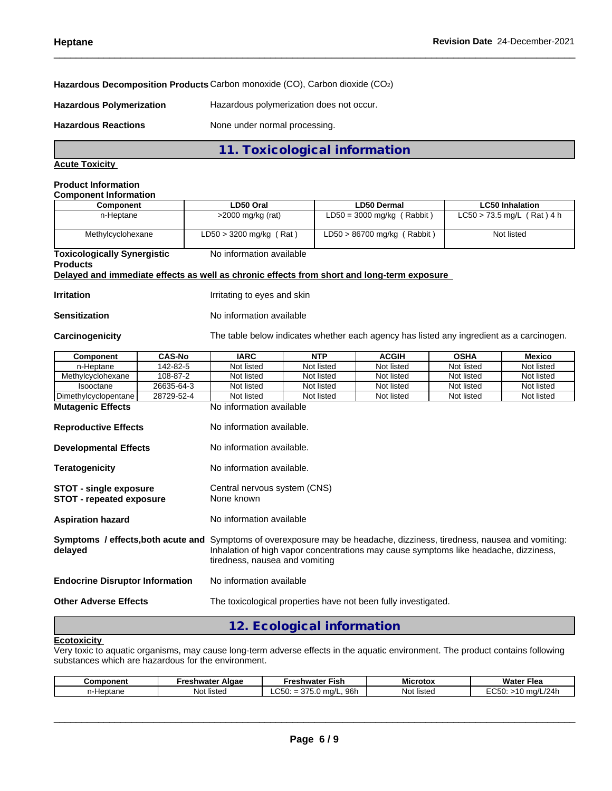#### **Hazardous Decomposition Products** Carbon monoxide (CO), Carbon dioxide (CO2)

**Hazardous Polymerization** Hazardous polymerization does not occur.

Hazardous Reactions **None under normal processing.** 

## **11. Toxicological information**

### **Acute Toxicity**

#### **Product Information Component Information**

| OUINDUINII IIIUI IIIUIU |                           |                                    |                              |
|-------------------------|---------------------------|------------------------------------|------------------------------|
| Component               | LD50 Oral                 | <b>LD50 Dermal</b>                 | <b>LC50 Inhalation</b>       |
| n-Heptane               | $>$ 2000 mg/kg (rat)      | $LD50 = 3000$ mg/kg (Rabbit)       | $LC50 > 73.5$ mg/L (Rat) 4 h |
| Methylcyclohexane       | $LD50 > 3200$ mg/kg (Rat) | (Rabbit)<br>$LD50 > 86700$ mg/kg ( | Not listed                   |

**Toxicologically Synergistic** No information available

## **Products**

**Delayed and immediate effects as well as chronic effects from short and long-term exposure**

**Irritation Irritation Irritating to eyes and skin** 

#### **Sensitization** No information available

**Carcinogenicity** The table below indicateswhether each agency has listed any ingredient as a carcinogen.

| Component                                                 | <b>CAS-No</b> | <b>IARC</b>                                                                                                                                                                                                                                       | <b>NTP</b> | <b>ACGIH</b> | <b>OSHA</b> | <b>Mexico</b> |  |  |
|-----------------------------------------------------------|---------------|---------------------------------------------------------------------------------------------------------------------------------------------------------------------------------------------------------------------------------------------------|------------|--------------|-------------|---------------|--|--|
| n-Heptane                                                 | 142-82-5      | Not listed                                                                                                                                                                                                                                        | Not listed | Not listed   | Not listed  | Not listed    |  |  |
| Methylcyclohexane                                         | 108-87-2      | Not listed                                                                                                                                                                                                                                        | Not listed | Not listed   | Not listed  | Not listed    |  |  |
| Isooctane                                                 | 26635-64-3    | Not listed                                                                                                                                                                                                                                        | Not listed | Not listed   | Not listed  | Not listed    |  |  |
| Dimethylcyclopentane                                      | 28729-52-4    | Not listed                                                                                                                                                                                                                                        | Not listed | Not listed   | Not listed  | Not listed    |  |  |
| <b>Mutagenic Effects</b>                                  |               | No information available                                                                                                                                                                                                                          |            |              |             |               |  |  |
| <b>Reproductive Effects</b>                               |               | No information available.                                                                                                                                                                                                                         |            |              |             |               |  |  |
| <b>Developmental Effects</b>                              |               | No information available.                                                                                                                                                                                                                         |            |              |             |               |  |  |
| <b>Teratogenicity</b>                                     |               | No information available.                                                                                                                                                                                                                         |            |              |             |               |  |  |
| STOT - single exposure<br><b>STOT - repeated exposure</b> |               | Central nervous system (CNS)<br>None known                                                                                                                                                                                                        |            |              |             |               |  |  |
| <b>Aspiration hazard</b>                                  |               | No information available                                                                                                                                                                                                                          |            |              |             |               |  |  |
| delayed                                                   |               | Symptoms / effects, both acute and Symptoms of overexposure may be headache, dizziness, tiredness, nausea and vomiting:<br>Inhalation of high vapor concentrations may cause symptoms like headache, dizziness,<br>tiredness, nausea and vomiting |            |              |             |               |  |  |
| <b>Endocrine Disruptor Information</b>                    |               | No information available                                                                                                                                                                                                                          |            |              |             |               |  |  |
| <b>Other Adverse Effects</b>                              |               | The toxicological properties have not been fully investigated.                                                                                                                                                                                    |            |              |             |               |  |  |
|                                                           |               |                                                                                                                                                                                                                                                   |            |              |             |               |  |  |

# **12. Ecological information**

## **Ecotoxicity**

Very toxic to aquatic organisms, may cause long-term adverse effects in the aquatic environment. The product contains following substances which are hazardous for the environment.

| Component | Algae<br>٠r۵<br>reshwater | * Fish<br>-reshwateı                               | ---<br>Microtox | <b>Water Flea</b>      |
|-----------|---------------------------|----------------------------------------------------|-----------------|------------------------|
| Heptane   | Not<br>listed             | $\sim$ $\sim$<br>96h<br>$\sim$<br>ma/<br>LUJU.<br> | Not listed      | ^~~<br>/24h<br>$m0$ /I |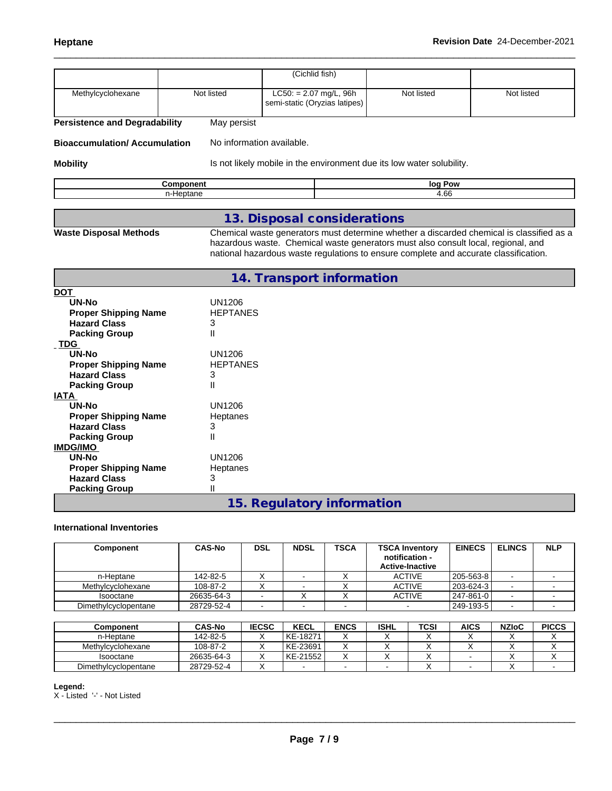|                               |             | (Cichlid fish)                                          |            |            |
|-------------------------------|-------------|---------------------------------------------------------|------------|------------|
| Methylcyclohexane             | Not listed  | LC50: = 2.07 mg/L, 96h<br>semi-static (Oryzias latipes) | Not listed | Not listed |
| Pareictance and Dagradahility | May narejet |                                                         |            |            |

**Persistence and Degradability** May persist

**Bioaccumulation/ Accumulation** No information available.

**Mobility IS not likely mobile in the environment due its low water solubility.** 

| w      |
|--------|
| $\sim$ |

# **13. Disposal considerations**

**Waste Disposal Methods** Chemical waste generators must determine whether a discarded chemical is classified as a hazardous waste. Chemical waste generators must also consult local, regional, and national hazardous waste regulations to ensure complete and accurate classification.

|                             | 14. Transport information  |
|-----------------------------|----------------------------|
| <b>DOT</b>                  |                            |
| UN-No                       | <b>UN1206</b>              |
| <b>Proper Shipping Name</b> | <b>HEPTANES</b>            |
| <b>Hazard Class</b>         | 3                          |
| <b>Packing Group</b>        | Ш                          |
| <b>TDG</b>                  |                            |
| <b>UN-No</b>                | <b>UN1206</b>              |
| <b>Proper Shipping Name</b> | <b>HEPTANES</b>            |
| <b>Hazard Class</b>         | 3                          |
| <b>Packing Group</b>        | Ш                          |
| <b>IATA</b>                 |                            |
| <b>UN-No</b>                | <b>UN1206</b>              |
| <b>Proper Shipping Name</b> | Heptanes                   |
| <b>Hazard Class</b>         | 3                          |
| <b>Packing Group</b>        | Ш                          |
| <b>IMDG/IMO</b>             |                            |
| <b>UN-No</b>                | <b>UN1206</b>              |
| <b>Proper Shipping Name</b> | Heptanes                   |
| <b>Hazard Class</b>         | 3                          |
| <b>Packing Group</b>        | II                         |
|                             | 15. Regulatory information |

#### **International Inventories**

| Component            | <b>CAS-No</b> | <b>DSL</b> | <b>NDSL</b> | <b>TSCA</b> | <b>TSCA Inventory</b><br>notification -<br><b>Active-Inactive</b> | <b>EINECS</b> | <b>ELINCS</b> | <b>NLP</b> |
|----------------------|---------------|------------|-------------|-------------|-------------------------------------------------------------------|---------------|---------------|------------|
| n-Heptane            | 142-82-5      | ⌒          |             |             | <b>ACTIVE</b>                                                     | 205-563-8     |               |            |
| Methylcyclohexane    | 108-87-2      |            |             |             | <b>ACTIVE</b>                                                     | 203-624-3     |               |            |
| Isooctane            | 26635-64-3    |            | $\lambda$   |             | <b>ACTIVE</b>                                                     | 247-861-0     | . .           |            |
| Dimethylcyclopentane | 28729-52-4    |            |             |             |                                                                   | 249-193-5     | . .           |            |

| Component            | <b>CAS-No</b> | <b>IECSC</b> | <b>KECL</b> | <b>ENCS</b> | <b>ISHL</b> | TCSI | AICS | <b>NZIoC</b> | <b>PICCS</b> |
|----------------------|---------------|--------------|-------------|-------------|-------------|------|------|--------------|--------------|
| n-Heptane            | 142-82-5      |              | l KE-18271  |             |             |      |      |              |              |
| Methylcyclohexane    | 108-87-2      |              | l KE-23691  |             |             |      |      |              |              |
| Isooctane            | 26635-64-3    |              | KE-21552    |             |             |      |      |              |              |
| Dimethylcyclopentane | 28729-52-4    |              |             |             |             |      |      |              |              |

#### **Legend:**

X - Listed '-' - Not Listed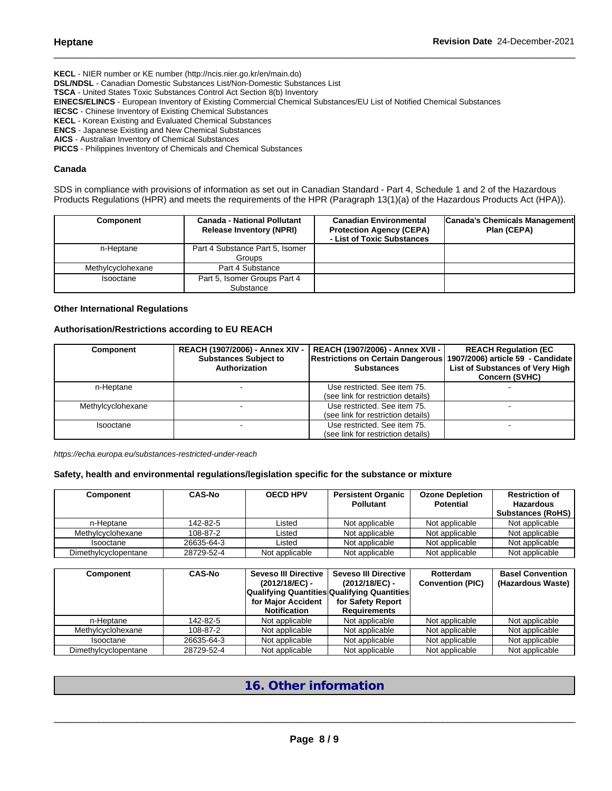**KECL** - NIER number or KE number (http://ncis.nier.go.kr/en/main.do) **DSL/NDSL** - Canadian Domestic Substances List/Non-Domestic Substances List **TSCA** - United States Toxic Substances Control Act Section 8(b) Inventory **EINECS/ELINCS** - European Inventory of Existing Commercial Chemical Substances/EU List of Notified Chemical Substances **IECSC** - Chinese Inventory of Existing Chemical Substances **KECL** - Korean Existing and Evaluated Chemical Substances **ENCS** - Japanese Existing and New Chemical Substances **AICS** - Australian Inventory of Chemical Substances **PICCS** - Philippines Inventory of Chemicals and Chemical Substances

**Canada**

SDS in compliance with provisions of information as set out in Canadian Standard - Part 4, Schedule 1 and 2 of the Hazardous Products Regulations (HPR) and meets the requirements of the HPR (Paragraph 13(1)(a) of the Hazardous Products Act (HPA)).

| <b>Component</b>  | <b>Canada - National Pollutant</b><br><b>Release Inventory (NPRI)</b> | <b>Canadian Environmental</b><br><b>Protection Agency (CEPA)</b><br>- List of Toxic Substances | Canada's Chemicals Management<br>Plan (CEPA) |
|-------------------|-----------------------------------------------------------------------|------------------------------------------------------------------------------------------------|----------------------------------------------|
| n-Heptane         | Part 4 Substance Part 5, Isomer<br>Groups                             |                                                                                                |                                              |
| Methylcyclohexane | Part 4 Substance                                                      |                                                                                                |                                              |
| Isooctane         | Part 5, Isomer Groups Part 4<br>Substance                             |                                                                                                |                                              |

#### **Other International Regulations**

#### **Authorisation/Restrictions according to EU REACH**

| <b>Component</b>  | REACH (1907/2006) - Annex XIV -<br><b>Substances Subject to</b><br>Authorization | REACH (1907/2006) - Annex XVII -<br>Restrictions on Certain Dangerous   1907/2006) article 59 - Candidate<br><b>Substances</b> | <b>REACH Regulation (EC</b><br>List of Substances of Very High<br><b>Concern (SVHC)</b> |
|-------------------|----------------------------------------------------------------------------------|--------------------------------------------------------------------------------------------------------------------------------|-----------------------------------------------------------------------------------------|
| n-Heptane         |                                                                                  | Use restricted. See item 75.<br>(see link for restriction details)                                                             |                                                                                         |
| Methylcyclohexane |                                                                                  | Use restricted. See item 75.<br>(see link for restriction details)                                                             |                                                                                         |
| Isooctane         |                                                                                  | Use restricted. See item 75.<br>(see link for restriction details)                                                             |                                                                                         |

*https://echa.europa.eu/substances-restricted-under-reach*

#### **Safety, health and environmental regulations/legislation specific for the substance or mixture**

| Component            | <b>CAS-No</b> | <b>OECD HPV</b> | <b>Persistent Organic</b><br><b>Pollutant</b> | <b>Ozone Depletion</b><br><b>Potential</b> | <b>Restriction of</b><br><b>Hazardous</b><br><b>Substances (RoHS)</b> |
|----------------------|---------------|-----------------|-----------------------------------------------|--------------------------------------------|-----------------------------------------------------------------------|
| n-Heptane            | 142-82-5      | Listed          | Not applicable                                | Not applicable                             | Not applicable                                                        |
| Methylcyclohexane    | 108-87-2      | Listed          | Not applicable                                | Not applicable                             | Not applicable                                                        |
| Isooctane            | 26635-64-3    | Listed          | Not applicable                                | Not applicable                             | Not applicable                                                        |
| Dimethylcyclopentane | 28729-52-4    | Not applicable  | Not applicable                                | Not applicable                             | Not applicable                                                        |

| Component            | <b>CAS-No</b> | Seveso III Directive I<br>(2012/18/EC) -<br>for Maior Accident<br><b>Notification</b> | <b>Seveso III Directive</b><br>(2012/18/EC) -<br>Qualifying Quantities Qualifying Quantities <br>for Safety Report<br><b>Requirements</b> | Rotterdam<br><b>Convention (PIC)</b> | <b>Basel Convention</b><br>(Hazardous Waste) |
|----------------------|---------------|---------------------------------------------------------------------------------------|-------------------------------------------------------------------------------------------------------------------------------------------|--------------------------------------|----------------------------------------------|
| n-Heptane            | 142-82-5      | Not applicable                                                                        | Not applicable                                                                                                                            | Not applicable                       | Not applicable                               |
| Methylcyclohexane    | 108-87-2      | Not applicable                                                                        | Not applicable                                                                                                                            | Not applicable                       | Not applicable                               |
| Isooctane            | 26635-64-3    | Not applicable                                                                        | Not applicable                                                                                                                            | Not applicable                       | Not applicable                               |
| Dimethylcyclopentane | 28729-52-4    | Not applicable                                                                        | Not applicable                                                                                                                            | Not applicable                       | Not applicable                               |

# **16. Other information**